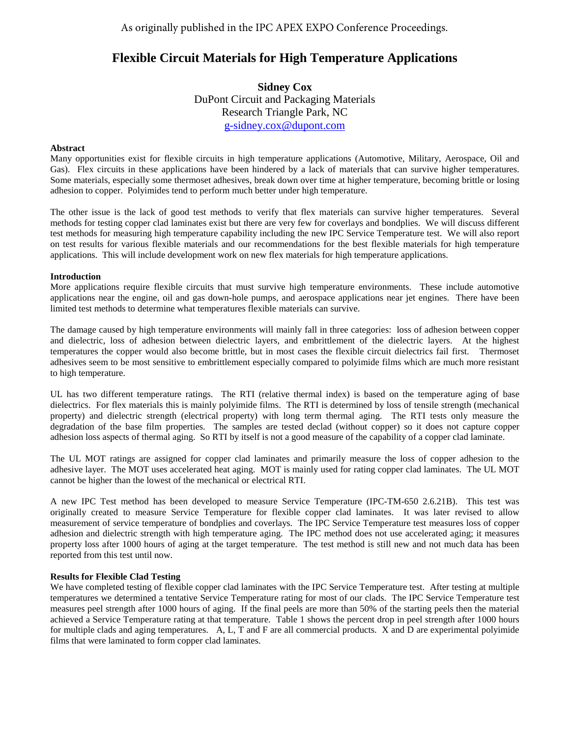# **Flexible Circuit Materials for High Temperature Applications**

**Sidney Cox** DuPont Circuit and Packaging Materials Research Triangle Park, NC [g-sidney.cox@dupont.com](mailto:g-sidney.cox@dupont.com)

## **Abstract**

Many opportunities exist for flexible circuits in high temperature applications (Automotive, Military, Aerospace, Oil and Gas). Flex circuits in these applications have been hindered by a lack of materials that can survive higher temperatures. Some materials, especially some thermoset adhesives, break down over time at higher temperature, becoming brittle or losing adhesion to copper. Polyimides tend to perform much better under high temperature.

The other issue is the lack of good test methods to verify that flex materials can survive higher temperatures. Several methods for testing copper clad laminates exist but there are very few for coverlays and bondplies. We will discuss different test methods for measuring high temperature capability including the new IPC Service Temperature test. We will also report on test results for various flexible materials and our recommendations for the best flexible materials for high temperature applications. This will include development work on new flex materials for high temperature applications.

### **Introduction**

More applications require flexible circuits that must survive high temperature environments. These include automotive applications near the engine, oil and gas down-hole pumps, and aerospace applications near jet engines. There have been limited test methods to determine what temperatures flexible materials can survive.

The damage caused by high temperature environments will mainly fall in three categories: loss of adhesion between copper and dielectric, loss of adhesion between dielectric layers, and embrittlement of the dielectric layers. At the highest temperatures the copper would also become brittle, but in most cases the flexible circuit dielectrics fail first. Thermoset adhesives seem to be most sensitive to embrittlement especially compared to polyimide films which are much more resistant to high temperature.

UL has two different temperature ratings. The RTI (relative thermal index) is based on the temperature aging of base dielectrics. For flex materials this is mainly polyimide films. The RTI is determined by loss of tensile strength (mechanical property) and dielectric strength (electrical property) with long term thermal aging. The RTI tests only measure the degradation of the base film properties. The samples are tested declad (without copper) so it does not capture copper adhesion loss aspects of thermal aging.So RTI by itself is not a good measure of the capability of a copper clad laminate.

The UL MOT ratings are assigned for copper clad laminates and primarily measure the loss of copper adhesion to the adhesive layer. The MOT uses accelerated heat aging. MOT is mainly used for rating copper clad laminates. The UL MOT cannot be higher than the lowest of the mechanical or electrical RTI.

A new IPC Test method has been developed to measure Service Temperature (IPC-TM-650 2.6.21B). This test was originally created to measure Service Temperature for flexible copper clad laminates. It was later revised to allow measurement of service temperature of bondplies and coverlays. The IPC Service Temperature test measures loss of copper adhesion and dielectric strength with high temperature aging. The IPC method does not use accelerated aging; it measures property loss after 1000 hours of aging at the target temperature. The test method is still new and not much data has been reported from this test until now.

## **Results for Flexible Clad Testing**

We have completed testing of flexible copper clad laminates with the IPC Service Temperature test. After testing at multiple temperatures we determined a tentative Service Temperature rating for most of our clads. The IPC Service Temperature test measures peel strength after 1000 hours of aging. If the final peels are more than 50% of the starting peels then the material achieved a Service Temperature rating at that temperature. Table 1 shows the percent drop in peel strength after 1000 hours for multiple clads and aging temperatures. A, L, T and F are all commercial products. X and D are experimental polyimide films that were laminated to form copper clad laminates.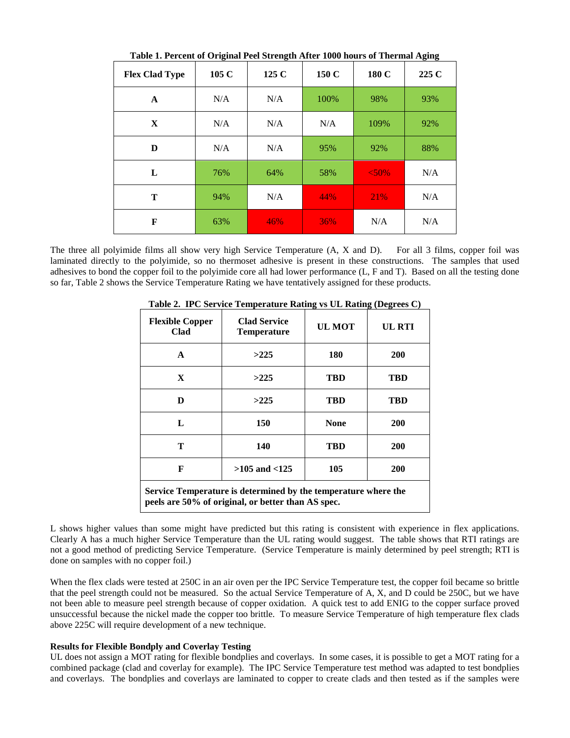| $\frac{1}{2}$<br><b>Flex Clad Type</b> | 105 C | <br>125 C | 150 C | 180 C | <u>.</u><br>225 C |
|----------------------------------------|-------|-----------|-------|-------|-------------------|
| A                                      | N/A   | N/A       | 100%  | 98%   | 93%               |
| X                                      | N/A   | N/A       | N/A   | 109%  | 92%               |
| D                                      | N/A   | N/A       | 95%   | 92%   | 88%               |
| L                                      | 76%   | 64%       | 58%   | < 50% | N/A               |
| T                                      | 94%   | N/A       | 44%   | 21%   | N/A               |
| F                                      | 63%   | 46%       | 36%   | N/A   | N/A               |

**Table 1. Percent of Original Peel Strength After 1000 hours of Thermal Aging**

The three all polyimide films all show very high Service Temperature (A, X and D). For all 3 films, copper foil was laminated directly to the polyimide, so no thermoset adhesive is present in these constructions. The samples that used adhesives to bond the copper foil to the polyimide core all had lower performance (L, F and T). Based on all the testing done so far, Table 2 shows the Service Temperature Rating we have tentatively assigned for these products.

| <b>Flexible Copper</b><br>Clad                                                                                       | <b>Clad Service</b><br><b>UL MOT</b><br><b>Temperature</b> |             | UL RTI     |  |  |  |
|----------------------------------------------------------------------------------------------------------------------|------------------------------------------------------------|-------------|------------|--|--|--|
| A                                                                                                                    | >225                                                       | 180         | 200        |  |  |  |
| X                                                                                                                    | >225                                                       | <b>TBD</b>  | TBD        |  |  |  |
| D                                                                                                                    | >225                                                       | TBD         | TBD        |  |  |  |
| L                                                                                                                    | 150                                                        | <b>None</b> | 200        |  |  |  |
| т                                                                                                                    | 140                                                        | TBD         | <b>200</b> |  |  |  |
| F                                                                                                                    | $>105$ and $< 125$                                         | 105         | 200        |  |  |  |
| Service Temperature is determined by the temperature where the<br>peels are 50% of original, or better than AS spec. |                                                            |             |            |  |  |  |

**Table 2. IPC Service Temperature Rating vs UL Rating (Degrees C)**

L shows higher values than some might have predicted but this rating is consistent with experience in flex applications. Clearly A has a much higher Service Temperature than the UL rating would suggest. The table shows that RTI ratings are not a good method of predicting Service Temperature. (Service Temperature is mainly determined by peel strength; RTI is done on samples with no copper foil.)

When the flex clads were tested at 250C in an air oven per the IPC Service Temperature test, the copper foil became so brittle that the peel strength could not be measured. So the actual Service Temperature of A, X, and D could be 250C, but we have not been able to measure peel strength because of copper oxidation. A quick test to add ENIG to the copper surface proved unsuccessful because the nickel made the copper too brittle. To measure Service Temperature of high temperature flex clads above 225C will require development of a new technique.

#### **Results for Flexible Bondply and Coverlay Testing**

UL does not assign a MOT rating for flexible bondplies and coverlays. In some cases, it is possible to get a MOT rating for a combined package (clad and coverlay for example). The IPC Service Temperature test method was adapted to test bondplies and coverlays. The bondplies and coverlays are laminated to copper to create clads and then tested as if the samples were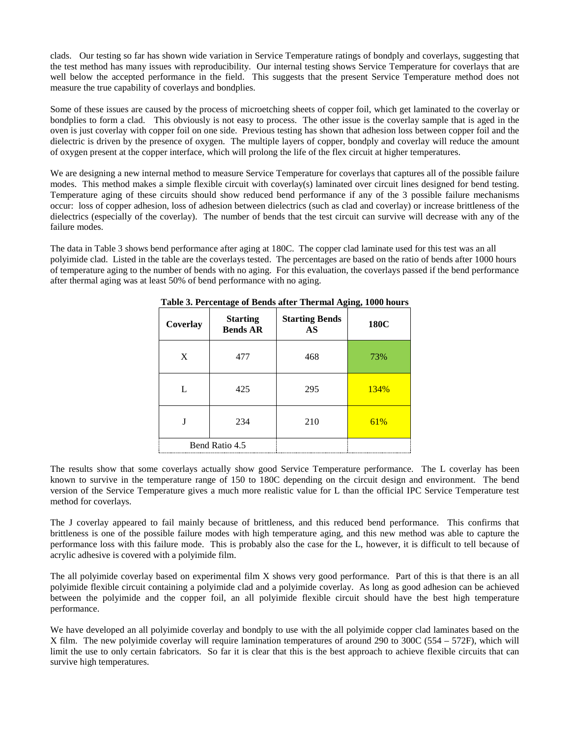clads. Our testing so far has shown wide variation in Service Temperature ratings of bondply and coverlays, suggesting that the test method has many issues with reproducibility. Our internal testing shows Service Temperature for coverlays that are well below the accepted performance in the field. This suggests that the present Service Temperature method does not measure the true capability of coverlays and bondplies.

Some of these issues are caused by the process of microetching sheets of copper foil, which get laminated to the coverlay or bondplies to form a clad. This obviously is not easy to process. The other issue is the coverlay sample that is aged in the oven is just coverlay with copper foil on one side. Previous testing has shown that adhesion loss between copper foil and the dielectric is driven by the presence of oxygen. The multiple layers of copper, bondply and coverlay will reduce the amount of oxygen present at the copper interface, which will prolong the life of the flex circuit at higher temperatures.

We are designing a new internal method to measure Service Temperature for coverlays that captures all of the possible failure modes. This method makes a simple flexible circuit with coverlay(s) laminated over circuit lines designed for bend testing. Temperature aging of these circuits should show reduced bend performance if any of the 3 possible failure mechanisms occur: loss of copper adhesion, loss of adhesion between dielectrics (such as clad and coverlay) or increase brittleness of the dielectrics (especially of the coverlay). The number of bends that the test circuit can survive will decrease with any of the failure modes.

The data in Table 3 shows bend performance after aging at 180C. The copper clad laminate used for this test was an all polyimide clad. Listed in the table are the coverlays tested. The percentages are based on the ratio of bends after 1000 hours of temperature aging to the number of bends with no aging. For this evaluation, the coverlays passed if the bend performance after thermal aging was at least 50% of bend performance with no aging.

| Coverlay       | ິ<br><b>Starting</b> | ັ<br><b>Starting Bends</b> | ັ<br>180C |
|----------------|----------------------|----------------------------|-----------|
|                | <b>Bends AR</b>      | AS                         |           |
| X              | 477                  | 468                        | 73%       |
| L              | 425                  | 295                        | 134%      |
| J              | 234                  | 210                        | 61%       |
| Bend Ratio 4.5 |                      |                            |           |

**Table 3. Percentage of Bends after Thermal Aging, 1000 hours**

The results show that some coverlays actually show good Service Temperature performance. The L coverlay has been known to survive in the temperature range of 150 to 180C depending on the circuit design and environment. The bend version of the Service Temperature gives a much more realistic value for L than the official IPC Service Temperature test method for coverlays.

The J coverlay appeared to fail mainly because of brittleness, and this reduced bend performance. This confirms that brittleness is one of the possible failure modes with high temperature aging, and this new method was able to capture the performance loss with this failure mode. This is probably also the case for the L, however, it is difficult to tell because of acrylic adhesive is covered with a polyimide film.

The all polyimide coverlay based on experimental film X shows very good performance. Part of this is that there is an all polyimide flexible circuit containing a polyimide clad and a polyimide coverlay. As long as good adhesion can be achieved between the polyimide and the copper foil, an all polyimide flexible circuit should have the best high temperature performance.

We have developed an all polyimide coverlay and bondply to use with the all polyimide copper clad laminates based on the X film. The new polyimide coverlay will require lamination temperatures of around 290 to 300C (554 – 572F), which will limit the use to only certain fabricators. So far it is clear that this is the best approach to achieve flexible circuits that can survive high temperatures.